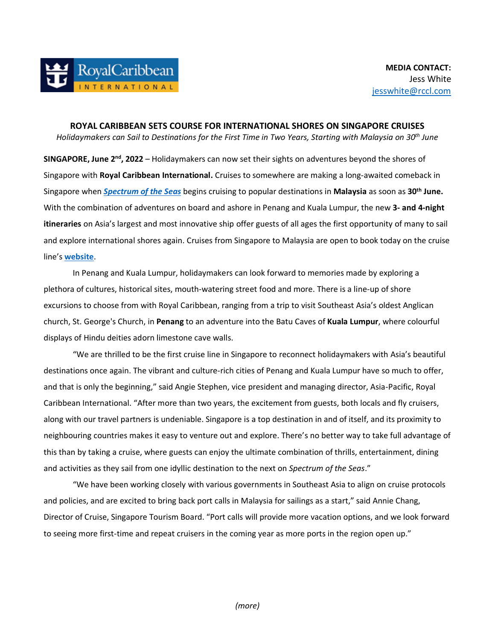**ROYAL CARIBBEAN SETS COURSE FOR INTERNATIONAL SHORES ON SINGAPORE CRUISES**  *Holidaymakers can Sail to Destinations for the First Time in Two Years, Starting with Malaysia on 30th June*

**SINGAPORE, June 2<sup>nd</sup>, 2022** – Holidaymakers can now set their sights on adventures beyond the shores of Singapore with **Royal Caribbean International.** Cruises to somewhere are making a long-awaited comeback in Singapore when *[Spectrum of the Seas](https://www.royalcaribbean.com/sgp/en/cruise-ships/spectrum-of-the-seas/?ecid=pr_int_pblc_r_wb_3338)* begins cruising to popular destinations in **Malaysia** as soon as **30th June.** With the combination of adventures on board and ashore in Penang and Kuala Lumpur, the new **3- and 4-night itineraries** on Asia's largest and most innovative ship offer guests of all ages the first opportunity of many to sail and explore international shores again. Cruises from Singapore to Malaysia are open to book today on the cruise line's **[website](https://www.royalcaribbean.com/sgp/en/cruises/?departureCode_SIN=true/?ecid=pr_int_pblc_r_wb_3338)**.

In Penang and Kuala Lumpur, holidaymakers can look forward to memories made by exploring a plethora of cultures, historical sites, mouth-watering street food and more. There is a line-up of shore excursions to choose from with Royal Caribbean, ranging from a trip to visit Southeast Asia's oldest Anglican church, St. George's Church, in **Penang** to an adventure into the Batu Caves of **Kuala Lumpur**, where colourful displays of Hindu deities adorn limestone cave walls.

"We are thrilled to be the first cruise line in Singapore to reconnect holidaymakers with Asia's beautiful destinations once again. The vibrant and culture-rich cities of Penang and Kuala Lumpur have so much to offer, and that is only the beginning," said Angie Stephen, vice president and managing director, Asia-Pacific, Royal Caribbean International. "After more than two years, the excitement from guests, both locals and fly cruisers, along with our travel partners is undeniable. Singapore is a top destination in and of itself, and its proximity to neighbouring countries makes it easy to venture out and explore. There's no better way to take full advantage of this than by taking a cruise, where guests can enjoy the ultimate combination of thrills, entertainment, dining and activities as they sail from one idyllic destination to the next on *Spectrum of the Seas*."

 "We have been working closely with various governments in Southeast Asia to align on cruise protocols and policies, and are excited to bring back port calls in Malaysia for sailings as a start," said Annie Chang, Director of Cruise, Singapore Tourism Board. "Port calls will provide more vacation options, and we look forward to seeing more first-time and repeat cruisers in the coming year as more ports in the region open up."